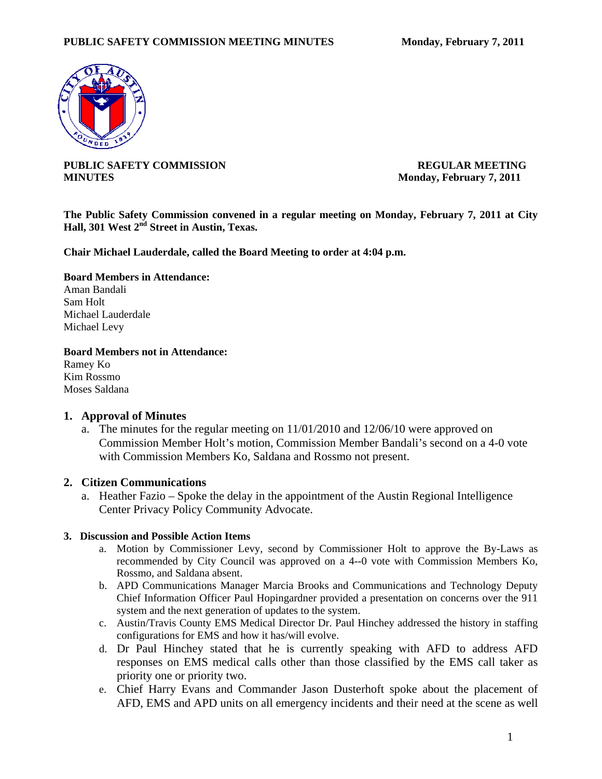

**PUBLIC SAFETY COMMISSION REGULAR MEETING MINUTES** Monday, February 7, 2011

**The Public Safety Commission convened in a regular meeting on Monday, February 7, 2011 at City Hall, 301 West 2nd Street in Austin, Texas.** 

**Chair Michael Lauderdale, called the Board Meeting to order at 4:04 p.m.** 

**Board Members in Attendance:** 

Aman Bandali Sam Holt Michael Lauderdale Michael Levy

**Board Members not in Attendance:** 

Ramey Ko Kim Rossmo Moses Saldana

### **1. Approval of Minutes**

a. The minutes for the regular meeting on 11/01/2010 and 12/06/10 were approved on Commission Member Holt's motion, Commission Member Bandali's second on a 4-0 vote with Commission Members Ko, Saldana and Rossmo not present.

### **2. Citizen Communications**

a. Heather Fazio – Spoke the delay in the appointment of the Austin Regional Intelligence Center Privacy Policy Community Advocate.

### **3. Discussion and Possible Action Items**

- a. Motion by Commissioner Levy, second by Commissioner Holt to approve the By-Laws as recommended by City Council was approved on a 4--0 vote with Commission Members Ko, Rossmo, and Saldana absent.
- b. APD Communications Manager Marcia Brooks and Communications and Technology Deputy Chief Information Officer Paul Hopingardner provided a presentation on concerns over the 911 system and the next generation of updates to the system.
- c. Austin/Travis County EMS Medical Director Dr. Paul Hinchey addressed the history in staffing configurations for EMS and how it has/will evolve.
- d. Dr Paul Hinchey stated that he is currently speaking with AFD to address AFD responses on EMS medical calls other than those classified by the EMS call taker as priority one or priority two.
- e. Chief Harry Evans and Commander Jason Dusterhoft spoke about the placement of AFD, EMS and APD units on all emergency incidents and their need at the scene as well